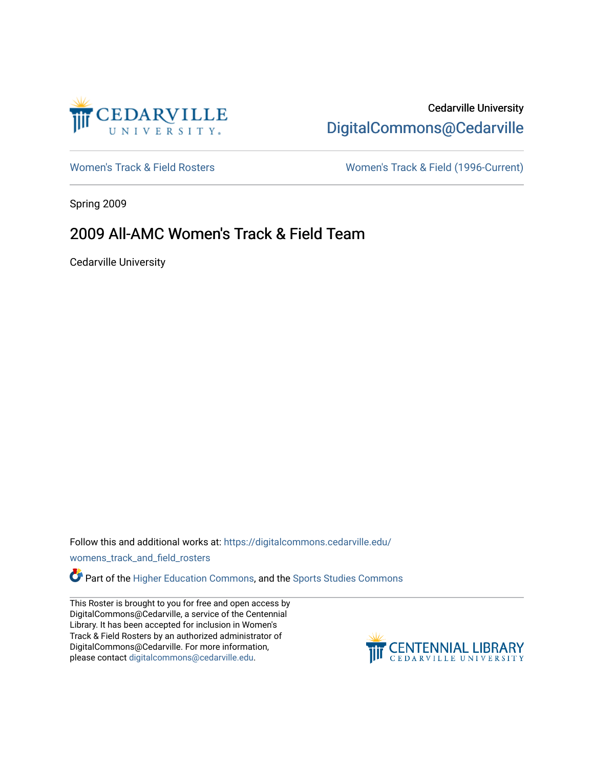

# Cedarville University [DigitalCommons@Cedarville](https://digitalcommons.cedarville.edu/)

[Women's Track & Field Rosters](https://digitalcommons.cedarville.edu/womens_track_and_field_rosters) Women's Track & Field (1996-Current)

Spring 2009

## 2009 All-AMC Women's Track & Field Team

Cedarville University

Follow this and additional works at: [https://digitalcommons.cedarville.edu/](https://digitalcommons.cedarville.edu/womens_track_and_field_rosters?utm_source=digitalcommons.cedarville.edu%2Fwomens_track_and_field_rosters%2F48&utm_medium=PDF&utm_campaign=PDFCoverPages)

[womens\\_track\\_and\\_field\\_rosters](https://digitalcommons.cedarville.edu/womens_track_and_field_rosters?utm_source=digitalcommons.cedarville.edu%2Fwomens_track_and_field_rosters%2F48&utm_medium=PDF&utm_campaign=PDFCoverPages) 

Part of the [Higher Education Commons,](http://network.bepress.com/hgg/discipline/1245?utm_source=digitalcommons.cedarville.edu%2Fwomens_track_and_field_rosters%2F48&utm_medium=PDF&utm_campaign=PDFCoverPages) and the [Sports Studies Commons](http://network.bepress.com/hgg/discipline/1198?utm_source=digitalcommons.cedarville.edu%2Fwomens_track_and_field_rosters%2F48&utm_medium=PDF&utm_campaign=PDFCoverPages) 

This Roster is brought to you for free and open access by DigitalCommons@Cedarville, a service of the Centennial Library. It has been accepted for inclusion in Women's Track & Field Rosters by an authorized administrator of DigitalCommons@Cedarville. For more information, please contact [digitalcommons@cedarville.edu](mailto:digitalcommons@cedarville.edu).

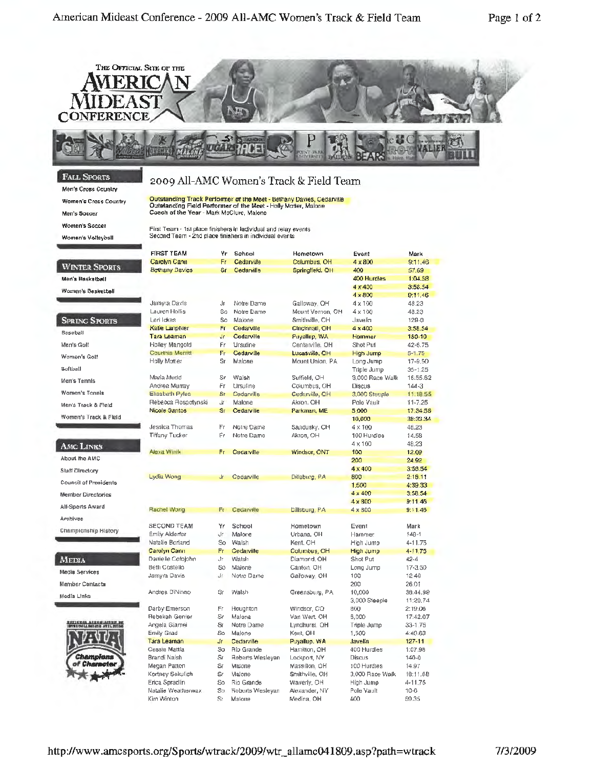

### **FALL SPORTS**

Men's Cross Country

**Women's Cross Country** 

Men's Soccer

▬

Women's Soccer

Women's Volleyball

### 2009 All-AMC Women's Track & Field Team

Outstanding Track Performer of the Meet - Bethany Davies, Cedarville<br>Outstanding Field Performer of the Meet - Holly Motter, Maione<br>Coach of the Year - Mark McClure, Maione

First Team - 1st place finishers in individual and relay events Second Team - 2nd place finishers in individual events

|                                                               | <b>FIRST TEAM</b>      | ۷r        | School                  | Hometown         | Event           | Mark        |
|---------------------------------------------------------------|------------------------|-----------|-------------------------|------------------|-----------------|-------------|
|                                                               | Carolyn Cann           | Fr        | Cedarville              | Columbus, OH     | 4 x 800         | 9:11,46     |
| <b>WINTER SPORTS</b>                                          | <b>Bethany Davies</b>  | <b>Sr</b> | Cedarville              | Springfleld, OH  | 400             | 57.69       |
| Men's Basketball                                              |                        |           |                         |                  | 400 Hurdles     | 1:04.58     |
| Women's Basketball                                            |                        |           |                         |                  | $4 \times 400$  | 3:58.54     |
|                                                               |                        |           |                         |                  | $4 \times 800$  | 9:11.46     |
|                                                               | Jamyra Davis           | Jr        | Notre Dame              | Galloway, OH     | 4 x 100         | 48.23       |
|                                                               | Lauren Hollis          | So        | Notre Dame              | Mount Vernon, OH | 4 x 100         | 48.23       |
| <b>SPRING SPORTS</b>                                          | Lori lakes             | <b>So</b> | Malone                  | Smithville, OH   | Javelin         | 129-0       |
| <b>Baseball</b>                                               | Katie Lamphier         | Fr.       | Cedarville              | Cincinnati, OH   | $4 \times 400$  | 3:58.54     |
|                                                               | Tara Leaman            | Jr.       | Cedarville              | Payallup, WA     | Hammer          | 150-10      |
| Men's Golf                                                    | <b>Holley Mangold</b>  | Ëг        | Ursuline                | Centerville, OH  | Shot Put        | 42-6.75     |
| Women's Golf                                                  | Courtnie Merntt        | Fr        | Cedarville              | Lucasville, OH   | High Jump       | $5 - 1.75$  |
|                                                               | Hally Matter           | Šr.       | Malone                  | Mount Union, PA  | Long Jump       | 17-9.50     |
| Softball                                                      |                        |           |                         |                  | Triple Jump     | $35 - 1.25$ |
| Men's Tennis                                                  | Maria Mudd             | Sr        | Walsh                   | Suffield, OH     | 3,000 Race Walk | 16:55.62    |
|                                                               | Andrea Murray          | Fr.       | Ursuline                | Columbus, OH     | Discus          | $144 - 3$   |
| <b>Women's Tennis</b>                                         | <b>Elisabeth Pyles</b> | <b>St</b> | Cedarville              | Cedarville, OH   | 3,000 Steeple   | 11.18.55    |
| Men's Track & Fleld                                           | Rebecca Rospotynski    | dr        | Malone                  | Akron, OH        | Pole Vault      | $11 - 7.25$ |
|                                                               | <b>Nicole Santos</b>   | Sr.       | Cedarville              | Parkman, ME      | 5.000           | 17:34.58    |
| Women's Track & Field                                         |                        |           |                         |                  | 10,000          | 38:33.34    |
|                                                               | Jessica Thomas         | Fr        | Notre Dame              | Sandusky, OH     | 4 x 100         | 48.23       |
|                                                               | <b>Tiffany Tucker</b>  | Ëη        | Notre Dame              | Akron, OH        | 100 Hurdles     | 14.58       |
| <b>AMC LINKS</b>                                              |                        |           |                         |                  | $4 \times 100$  | 48.23       |
|                                                               | Alexa Winik            | Fr.       | Cedarville              | Windsor, ONT     | 100             | 12.09       |
| About the AMC                                                 |                        |           |                         |                  | 200             | 24.92       |
| Slaff Directory                                               |                        |           |                         |                  | $4 \times 400$  | 3:58.54     |
|                                                               | Lydia Wong             | Jr.       | Cedarville              | Dillsburg, PA    | 800             | 2:18.11     |
| <b>Council of Presidents</b>                                  |                        |           |                         |                  | 1,500           | 4:39.33     |
| <b>Member Directories</b>                                     |                        |           |                         |                  | $4 \times 400$  | 3:58.54     |
|                                                               |                        |           |                         |                  | $4 \times 800$  | 9:11.46     |
| All-Sports Award                                              | Rachel Wong            | Ft        | Cedarville              | Dillsburg, PA    | 4 x 800         | 9:11.46     |
| Archives                                                      |                        |           |                         |                  |                 |             |
|                                                               | <b>SECOND TEAM</b>     | Yr        | School                  | Hametown         | Event           | Mark        |
| Championship History                                          | Emily Alderfer         | Jr.       | Malone                  | Urbana, OH       | Hammer          | $148 - 1$   |
|                                                               | Natalie Borland        | So        | Walsh                   | Kent, OH         | High Jump       | 4-11.75     |
|                                                               | Carolyn Cann           | Fr        | Cedarville              | Columbus, OH     | High Jump       | 4-11.75     |
| Media                                                         | Danielle Cofojohn      | Лr        | Wateh                   | Diamond, OH      | Shot Put        | $42 - 4$    |
| Media Services                                                | Beth Costello          | Sø        | Malone                  | Canton, OH       | Long Jump       | 17-3.50     |
|                                                               | Jamy'a Davis           | Jr        | Notre Dame              | Galloway, OH     | 100             | 12.40       |
| Member Contacts                                               |                        |           |                         |                  | 200             | 26.01       |
| Medía Links                                                   | Andrea DiNinno         | Sr        | Walsh                   | Greensburg, PA   | 10,000          | 38:44.99    |
|                                                               |                        |           |                         |                  | 3,000 Steeple   | 11:20.74    |
|                                                               | Darby Emerson          | Ëη        | Houghton                | Windsor, CO      | 800             | 2:19.06     |
|                                                               | <b>Hebekah Genter</b>  | Sr        | Malone                  | Van Wert, OH     | 5,000           | 17:42.07    |
| <b>HAYIGRAL ASEGGIANNE DE</b><br>IDVND DOLLING LOSS ATELINING | Angela Giamei          | Sr        | Notre Dame              | Lyndhurst. OH    | Triple Jump     | 33-1.75     |
|                                                               | <b>Emily Grad</b>      | So.       | Malone                  | Kent, OH         | 1,500           | 4:40.63     |
|                                                               | Tara Learnan           | J٢        | Cedarville              | Puyallup, WA     | Javelin         | $127 - 11$  |
|                                                               | Cassie Mattla          | So.       | Rio Grande              | Hamilton, OH     | 400 Hurdles     | 1:07.98     |
| Champlons                                                     | Brandi Naish           | Sr        | Roberts Wesleyan        | Lockport, NY     | <b>Discus</b>   | $140 - 0$   |
| of Character                                                  | Megan Pation           | Sr        | MaJone                  | Massillon, OH    | 100 Hurdles     | 14.97       |
|                                                               | Kortney Sekulich       | Sr        | Malone                  | Smithville, OH   | 3,000 Race Walk | 18:11.68    |
|                                                               | Erica Spradlin         | So        | Rio Grande              | Waverly, OH      | High Jump       | 4-11.75     |
|                                                               | Natalie Weatherwax     | So.       | <b>Roberts Wesleyan</b> | Alexander, NY    | Pole Vault      | $10-6$      |
|                                                               | Kim Winton             | S٢        | Malone                  | Medina, OH       | 400             | 59.35       |